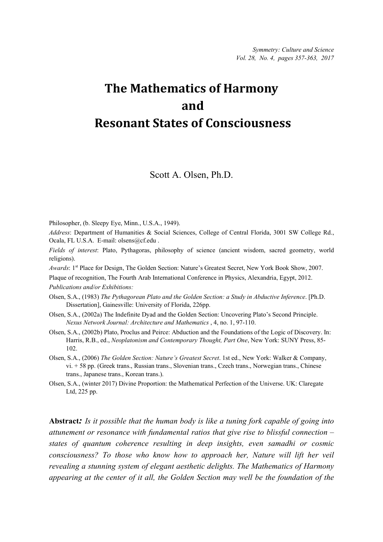# **The Mathematics of Harmony and Resonant States of Consciousness**

Scott A. Olsen, Ph.D.

Philosopher, (b. Sleepy Eye, Minn., U.S.A., 1949).

*Address*: Department of Humanities & Social Sciences, College of Central Florida, 3001 SW College Rd., Ocala, FL U.S.A. E-mail: olsens@cf.edu .

*Fields of interest*: Plato, Pythagoras, philosophy of science (ancient wisdom, sacred geometry, world religions).

*Awards*: 1st Place for Design, The Golden Section: Nature's Greatest Secret, New York Book Show, 2007.

Plaque of recognition, The Fourth Arab International Conference in Physics, Alexandria, Egypt, 2012.

*Publications and/or Exhibitions:*

- Olsen, S.A., (1983) *The Pythagorean Plato and the Golden Section: a Study in Abductive Inference*. [Ph.D. Dissertation], Gainesville: University of Florida, 226pp.
- Olsen, S.A., (2002a) The Indefinite Dyad and the Golden Section: Uncovering Plato's Second Principle. *Nexus Network Journal: Architecture and Mathematics* , 4, no. 1, 97-110.
- Olsen, S.A., (2002b) Plato, Proclus and Peirce: Abduction and the Foundations of the Logic of Discovery. In: Harris, R.B., ed., *Neoplatonism and Contemporary Thought, Part One*, New York: SUNY Press, 85- 102.
- Olsen, S.A., (2006) *The Golden Section: Nature's Greatest Secret*. 1st ed., New York: Walker & Company, vi. + 58 pp. (Greek trans., Russian trans., Slovenian trans., Czech trans., Norwegian trans., Chinese trans., Japanese trans., Korean trans.).
- Olsen, S.A., (winter 2017) Divine Proportion: the Mathematical Perfection of the Universe. UK: Claregate Ltd, 225 pp.

**Abstract***: Is it possible that the human body is like a tuning fork capable of going into attunement or resonance with fundamental ratios that give rise to blissful connection – states of quantum coherence resulting in deep insights, even samadhi or cosmic consciousness? To those who know how to approach her, Nature will lift her veil revealing a stunning system of elegant aesthetic delights. The Mathematics of Harmony appearing at the center of it all, the Golden Section may well be the foundation of the*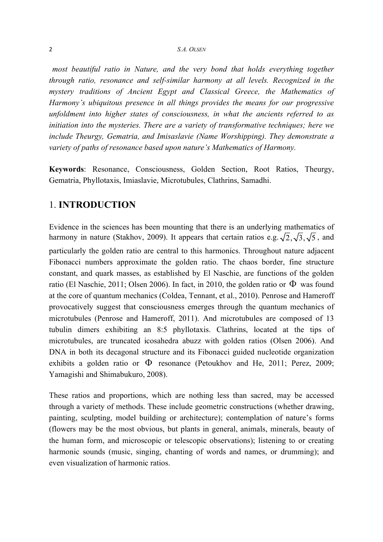#### 2 *S.A. OLSEN*

*most beautiful ratio in Nature, and the very bond that holds everything together through ratio, resonance and self-similar harmony at all levels. Recognized in the mystery traditions of Ancient Egypt and Classical Greece, the Mathematics of Harmony's ubiquitous presence in all things provides the means for our progressive unfoldment into higher states of consciousness, in what the ancients referred to as initiation into the mysteries. There are a variety of transformative techniques; here we include Theurgy, Gematria, and Imisaslavie (Name Worshipping). They demonstrate a variety of paths of resonance based upon nature's Mathematics of Harmony.*

**Keywords**: Resonance, Consciousness, Golden Section, Root Ratios, Theurgy, Gematria, Phyllotaxis, Imiaslavie, Microtubules, Clathrins, Samadhi.

## 1. **INTRODUCTION**

Evidence in the sciences has been mounting that there is an underlying mathematics of harmony in nature (Stakhov, 2009). It appears that certain ratios e.g.  $\sqrt{2}$ ,  $\sqrt{3}$ ,  $\sqrt{5}$ , and particularly the golden ratio are central to this harmonics. Throughout nature adjacent Fibonacci numbers approximate the golden ratio. The chaos border, fine structure constant, and quark masses, as established by El Naschie, are functions of the golden ratio (El Naschie, 2011; Olsen 2006). In fact, in 2010, the golden ratio or  $\Phi$  was found at the core of quantum mechanics (Coldea, Tennant, et al., 2010). Penrose and Hameroff provocatively suggest that consciousness emerges through the quantum mechanics of microtubules (Penrose and Hameroff, 2011). And microtubules are composed of 13 tubulin dimers exhibiting an 8:5 phyllotaxis. Clathrins, located at the tips of microtubules, are truncated icosahedra abuzz with golden ratios (Olsen 2006). And DNA in both its decagonal structure and its Fibonacci guided nucleotide organization exhibits a golden ratio or  $\Phi$  resonance (Petoukhov and He, 2011; Perez, 2009; Yamagishi and Shimabukuro, 2008).

These ratios and proportions, which are nothing less than sacred, may be accessed through a variety of methods. These include geometric constructions (whether drawing, painting, sculpting, model building or architecture); contemplation of nature's forms (flowers may be the most obvious, but plants in general, animals, minerals, beauty of the human form, and microscopic or telescopic observations); listening to or creating harmonic sounds (music, singing, chanting of words and names, or drumming); and even visualization of harmonic ratios.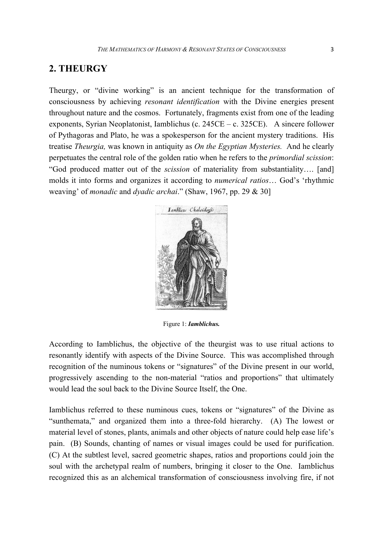## **2. THEURGY**

Theurgy, or "divine working" is an ancient technique for the transformation of consciousness by achieving *resonant identification* with the Divine energies present throughout nature and the cosmos. Fortunately, fragments exist from one of the leading exponents, Syrian Neoplatonist, Iamblichus (c. 245CE – c. 325CE). A sincere follower of Pythagoras and Plato, he was a spokesperson for the ancient mystery traditions. His treatise *Theurgia,* was known in antiquity as *On the Egyptian Mysteries.* And he clearly perpetuates the central role of the golden ratio when he refers to the *primordial scission*: "God produced matter out of the *scission* of materiality from substantiality…. [and] molds it into forms and organizes it according to *numerical ratios*… God's 'rhythmic weaving' of *monadic* and *dyadic archai*." (Shaw, 1967, pp. 29 & 30]



Figure 1: *Iamblichus.*

According to Iamblichus, the objective of the theurgist was to use ritual actions to resonantly identify with aspects of the Divine Source. This was accomplished through recognition of the numinous tokens or "signatures" of the Divine present in our world, progressively ascending to the non-material "ratios and proportions" that ultimately would lead the soul back to the Divine Source Itself, the One.

Iamblichus referred to these numinous cues, tokens or "signatures" of the Divine as "sunthemata," and organized them into a three-fold hierarchy. (A) The lowest or material level of stones, plants, animals and other objects of nature could help ease life's pain. (B) Sounds, chanting of names or visual images could be used for purification. (C) At the subtlest level, sacred geometric shapes, ratios and proportions could join the soul with the archetypal realm of numbers, bringing it closer to the One. Iamblichus recognized this as an alchemical transformation of consciousness involving fire, if not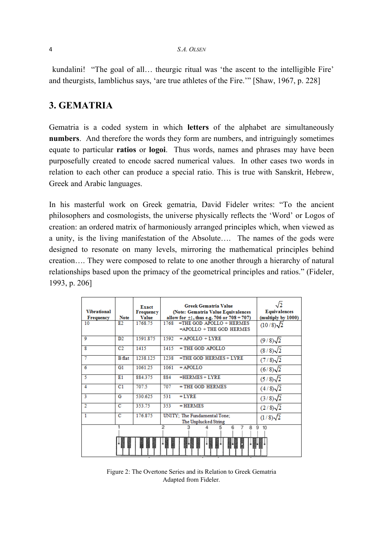#### 4 *S.A. OLSEN*

kundalini! "The goal of all… theurgic ritual was 'the ascent to the intelligible Fire' and theurgists, Iamblichus says, 'are true athletes of the Fire.'" [Shaw, 1967, p. 228]

## **3. GEMATRIA**

Gematria is a coded system in which **letters** of the alphabet are simultaneously **numbers**. And therefore the words they form are numbers, and intriguingly sometimes equate to particular **ratios** or **logoi**. Thus words, names and phrases may have been purposefully created to encode sacred numerical values.In other cases two words in relation to each other can produce a special ratio. This is true with Sanskrit, Hebrew, Greek and Arabic languages.

In his masterful work on Greek gematria, David Fideler writes: "To the ancient philosophers and cosmologists, the universe physically reflects the 'Word' or Logos of creation: an ordered matrix of harmoniously arranged principles which, when viewed as a unity, is the living manifestation of the Absolute…. The names of the gods were designed to resonate on many levels, mirroring the mathematical principles behind creation…. They were composed to relate to one another through a hierarchy of natural relationships based upon the primacy of the geometrical principles and ratios." (Fideler, 1993, p. 206]

| <b>Vibrational</b><br><b>Frequency</b> | <b>Note</b>     | Exact<br><b>Frequency</b><br><b>Value</b> | <b>Greek Gematria Value</b><br>(Note: Gematria Value Equivalences<br>allow for $\pm 1$ , thus e.g. 706 or 708 = 707) | <b>Equivalences</b><br>(multiply by 1000) |
|----------------------------------------|-----------------|-------------------------------------------|----------------------------------------------------------------------------------------------------------------------|-------------------------------------------|
| 10                                     | E2              | 1768.75                                   | $=$ THE GOD APOLLO $+$ HERMES<br>1768<br>$=$ APOLLO $+$ THE GOD HERMES                                               | $(10/8)\sqrt{2}$                          |
| 9                                      | $\overline{D2}$ | 1591.875                                  | 1592<br>$= APOLLO + LYRE$                                                                                            | $(9/8)\sqrt{2}$                           |
| 8                                      | C2              | 1415                                      | 1415<br>$=$ THE GOD APOLLO                                                                                           | $(8/8)\sqrt{2}$                           |
| 7                                      | <b>B</b> flat   | 1238.125                                  | 1238<br>$=$ THE GOD HERMES + LYRE                                                                                    | $(7/8)\sqrt{2}$                           |
| 6                                      | G <sub>1</sub>  | 106125                                    | 1061<br>$=$ APOLLO                                                                                                   | $(6/8)$ 2                                 |
| 5                                      | E1              | 884.375                                   | 884<br>$=$ HERMES + LYRE                                                                                             | $(5/8)\sqrt{2}$                           |
| 4                                      | C <sub>1</sub>  | 707.5                                     | 707<br>$=$ THE GOD HERMES                                                                                            | $(4/8)\sqrt{2}$                           |
| 3                                      | G               | 530.625                                   | 531<br>$= LYRE$                                                                                                      | $(3/8)\sqrt{2}$                           |
| 2                                      | C               | 353.75                                    | 353<br>$=$ HERMES                                                                                                    | $(2/8)\sqrt{2}$                           |
| 1                                      | $\overline{c}$  | 176.875                                   | UNITY: The Fundamental Tone:<br>The Unplucked String                                                                 | $(1/8)\sqrt{2}$                           |
|                                        |                 |                                           | 2<br>6<br>3<br>8                                                                                                     | 9<br>10                                   |
|                                        |                 |                                           |                                                                                                                      |                                           |

Figure 2: The Overtone Series and its Relation to Greek Gematria Adapted from Fideler.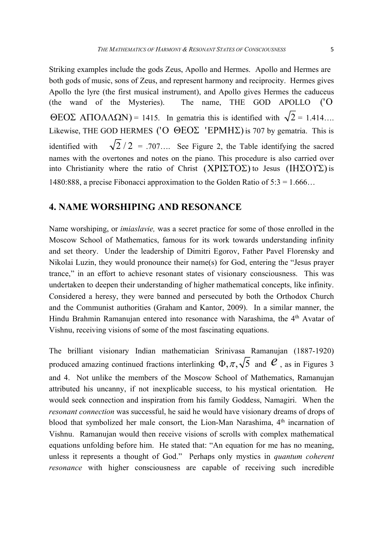Striking examples include the gods Zeus, Apollo and Hermes. Apollo and Hermes are both gods of music, sons of Zeus, and represent harmony and reciprocity. Hermes gives Apollo the lyre (the first musical instrument), and Apollo gives Hermes the caduceus (the wand of the Mysteries). The name, THE GOD APOLLO ('Ο ΘΕΟΣ ΑΠΟΛΛΩΝ) = 1415. In gematria this is identified with  $\sqrt{2}$  = 1.414... Likewise, THE GOD HERMES (' $O$  ΘΕΟΣ 'EPMHΣ) is 707 by gematria. This is identified with  $\sqrt{2}/2$  = .707.... See Figure 2, the Table identifying the sacred names with the overtones and notes on the piano. This procedure is also carried over into Christianity where the ratio of Christ  $(XPI\Sigma TO\Sigma)$  to Jesus  $(IH\Sigma OY\Sigma)$  is 1480:888, a precise Fibonacci approximation to the Golden Ratio of  $5:3 = 1.666...$ 

## **4. NAME WORSHIPING AND RESONANCE**

Name worshiping, or *imiaslavie,* was a secret practice for some of those enrolled in the Moscow School of Mathematics, famous for its work towards understanding infinity and set theory. Under the leadership of Dimitri Egorov, Father Pavel Florensky and Nikolai Luzin, they would pronounce their name(s) for God, entering the "Jesus prayer trance," in an effort to achieve resonant states of visionary consciousness. This was undertaken to deepen their understanding of higher mathematical concepts, like infinity. Considered a heresy, they were banned and persecuted by both the Orthodox Church and the Communist authorities (Graham and Kantor, 2009). In a similar manner, the Hindu Brahmin Ramanujan entered into resonance with Narashima, the 4<sup>th</sup> Avatar of Vishnu, receiving visions of some of the most fascinating equations.

The brilliant visionary Indian mathematician Srinivasa Ramanujan (1887-1920) produced amazing continued fractions interlinking  $\Phi, \pi, \sqrt{5}$  and  $\mathcal{C}$ , as in Figures 3 and 4. Not unlike the members of the Moscow School of Mathematics, Ramanujan attributed his uncanny, if not inexplicable success, to his mystical orientation. He would seek connection and inspiration from his family Goddess, Namagiri. When the *resonant connection* was successful, he said he would have visionary dreams of drops of blood that symbolized her male consort, the Lion-Man Narashima, 4<sup>th</sup> incarnation of Vishnu. Ramanujan would then receive visions of scrolls with complex mathematical equations unfolding before him. He stated that: "An equation for me has no meaning, unless it represents a thought of God." Perhaps only mystics in *quantum coherent resonance* with higher consciousness are capable of receiving such incredible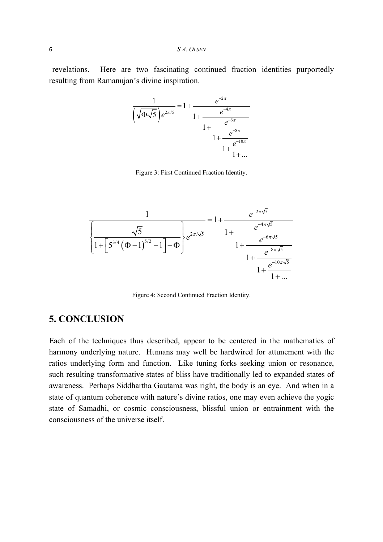revelations. Here are two fascinating continued fraction identities purportedly resulting from Ramanujan's divine inspiration.



Figure 3: First Continued Fraction Identity.



Figure 4: Second Continued Fraction Identity.

## **5. CONCLUSION**

Each of the techniques thus described, appear to be centered in the mathematics of harmony underlying nature. Humans may well be hardwired for attunement with the ratios underlying form and function. Like tuning forks seeking union or resonance, such resulting transformative states of bliss have traditionally led to expanded states of awareness. Perhaps Siddhartha Gautama was right, the body is an eye. And when in a state of quantum coherence with nature's divine ratios, one may even achieve the yogic state of Samadhi, or cosmic consciousness, blissful union or entrainment with the consciousness of the universe itself.